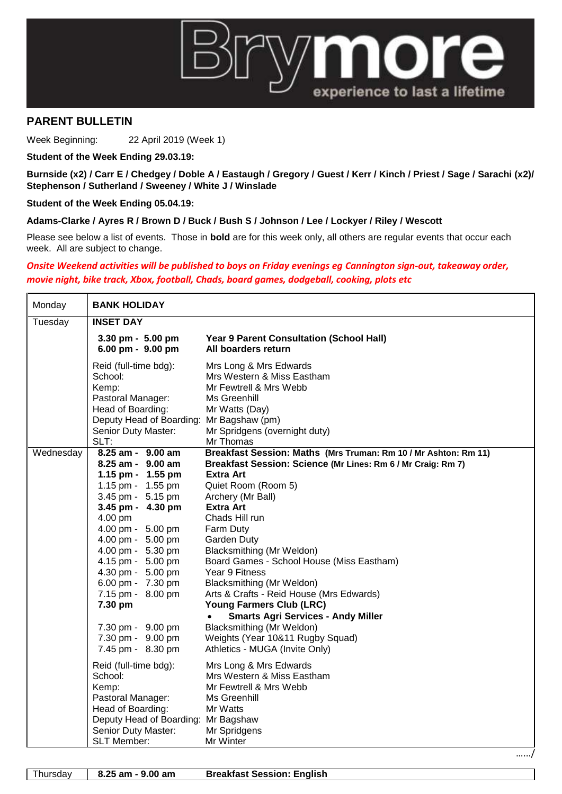

## **PARENT BULLETIN**

Week Beginning: 22 April 2019 (Week 1)

**Student of the Week Ending 29.03.19:**

**Burnside (x2) / Carr E / Chedgey / Doble A / Eastaugh / Gregory / Guest / Kerr / Kinch / Priest / Sage / Sarachi (x2)/ Stephenson / Sutherland / Sweeney / White J / Winslade**

**Student of the Week Ending 05.04.19:**

## **Adams-Clarke / Ayres R / Brown D / Buck / Bush S / Johnson / Lee / Lockyer / Riley / Wescott**

Please see below a list of events. Those in **bold** are for this week only, all others are regular events that occur each week. All are subject to change.

## *Onsite Weekend activities will be published to boys on Friday evenings eg Cannington sign-out, takeaway order, movie night, bike track, Xbox, football, Chads, board games, dodgeball, cooking, plots etc*

| Monday    | <b>BANK HOLIDAY</b>                                                                                                                                                                                                                                                                                                                                                                                                                                               |                                                                                                                                                                                                                                                                                                                                                                                                                                                                                                                                                                                                                                                                                                                                               |  |
|-----------|-------------------------------------------------------------------------------------------------------------------------------------------------------------------------------------------------------------------------------------------------------------------------------------------------------------------------------------------------------------------------------------------------------------------------------------------------------------------|-----------------------------------------------------------------------------------------------------------------------------------------------------------------------------------------------------------------------------------------------------------------------------------------------------------------------------------------------------------------------------------------------------------------------------------------------------------------------------------------------------------------------------------------------------------------------------------------------------------------------------------------------------------------------------------------------------------------------------------------------|--|
| Tuesday   | <b>INSET DAY</b>                                                                                                                                                                                                                                                                                                                                                                                                                                                  |                                                                                                                                                                                                                                                                                                                                                                                                                                                                                                                                                                                                                                                                                                                                               |  |
|           | $3.30$ pm - $5.00$ pm<br>6.00 pm - 9.00 pm                                                                                                                                                                                                                                                                                                                                                                                                                        | Year 9 Parent Consultation (School Hall)<br>All boarders return                                                                                                                                                                                                                                                                                                                                                                                                                                                                                                                                                                                                                                                                               |  |
|           | Reid (full-time bdg):<br>School:<br>Kemp:<br>Pastoral Manager:<br>Head of Boarding:<br>Deputy Head of Boarding: Mr Bagshaw (pm)<br>Senior Duty Master:<br>SLT:                                                                                                                                                                                                                                                                                                    | Mrs Long & Mrs Edwards<br>Mrs Western & Miss Eastham<br>Mr Fewtrell & Mrs Webb<br>Ms Greenhill<br>Mr Watts (Day)<br>Mr Spridgens (overnight duty)<br>Mr Thomas                                                                                                                                                                                                                                                                                                                                                                                                                                                                                                                                                                                |  |
| Wednesday | $8.25$ am - $9.00$ am<br>$8.25$ am - $9.00$ am<br>1.15 pm - 1.55 pm<br>1.15 pm - 1.55 pm<br>3.45 pm - 5.15 pm<br>3.45 pm - 4.30 pm<br>4.00 pm<br>4.00 pm - 5.00 pm<br>4.00 pm - 5.00 pm<br>4.00 pm - 5.30 pm<br>4.15 pm - 5.00 pm<br>4.30 pm - 5.00 pm<br>6.00 pm - 7.30 pm<br>7.15 pm - 8.00 pm<br>7.30 pm<br>7.30 pm - 9.00 pm<br>7.30 pm - 9.00 pm<br>7.45 pm - 8.30 pm<br>Reid (full-time bdg):<br>School:<br>Kemp:<br>Pastoral Manager:<br>Head of Boarding: | Breakfast Session: Maths (Mrs Truman: Rm 10 / Mr Ashton: Rm 11)<br>Breakfast Session: Science (Mr Lines: Rm 6 / Mr Craig: Rm 7)<br>Extra Art<br>Quiet Room (Room 5)<br>Archery (Mr Ball)<br><b>Extra Art</b><br>Chads Hill run<br>Farm Duty<br><b>Garden Duty</b><br>Blacksmithing (Mr Weldon)<br>Board Games - School House (Miss Eastham)<br>Year 9 Fitness<br>Blacksmithing (Mr Weldon)<br>Arts & Crafts - Reid House (Mrs Edwards)<br>Young Farmers Club (LRC)<br><b>Smarts Agri Services - Andy Miller</b><br>$\bullet$<br>Blacksmithing (Mr Weldon)<br>Weights (Year 10&11 Rugby Squad)<br>Athletics - MUGA (Invite Only)<br>Mrs Long & Mrs Edwards<br>Mrs Western & Miss Eastham<br>Mr Fewtrell & Mrs Webb<br>Ms Greenhill<br>Mr Watts |  |
|           | Deputy Head of Boarding: Mr Bagshaw<br>Senior Duty Master:<br>SLT Member:                                                                                                                                                                                                                                                                                                                                                                                         | Mr Spridgens<br>Mr Winter                                                                                                                                                                                                                                                                                                                                                                                                                                                                                                                                                                                                                                                                                                                     |  |

Thursday **8.25 am - 9.00 am Breakfast Session: English**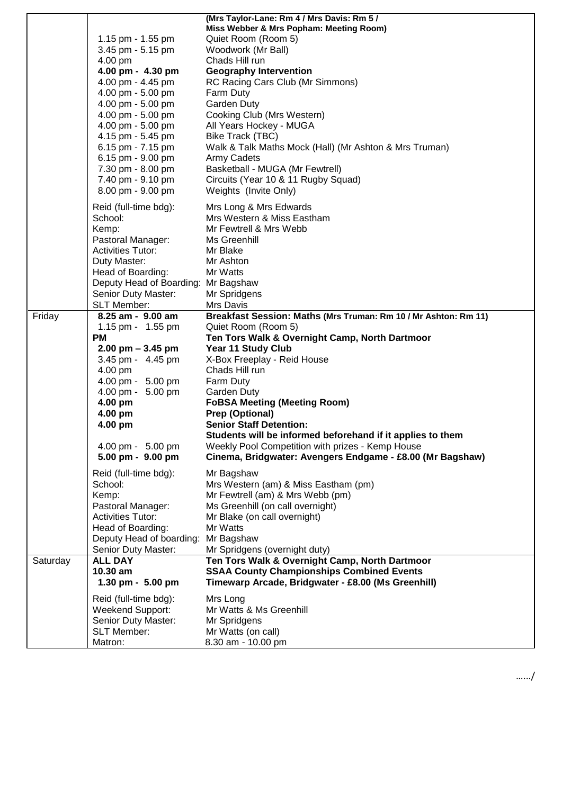|          |                                               | (Mrs Taylor-Lane: Rm 4 / Mrs Davis: Rm 5 /                            |
|----------|-----------------------------------------------|-----------------------------------------------------------------------|
|          |                                               | Miss Webber & Mrs Popham: Meeting Room)                               |
|          | 1.15 pm - 1.55 pm                             | Quiet Room (Room 5)                                                   |
|          | 3.45 pm - 5.15 pm                             | Woodwork (Mr Ball)                                                    |
|          | 4.00 pm                                       | Chads Hill run                                                        |
|          | 4.00 pm - 4.30 pm                             | <b>Geography Intervention</b>                                         |
|          | 4.00 pm - 4.45 pm                             | RC Racing Cars Club (Mr Simmons)                                      |
|          | 4.00 pm - 5.00 pm                             | Farm Duty                                                             |
|          | 4.00 pm - 5.00 pm                             | <b>Garden Duty</b>                                                    |
|          | 4.00 pm - 5.00 pm                             | Cooking Club (Mrs Western)                                            |
|          | 4.00 pm - 5.00 pm                             | All Years Hockey - MUGA                                               |
|          | 4.15 pm - 5.45 pm                             | Bike Track (TBC)                                                      |
|          | 6.15 pm - 7.15 pm                             | Walk & Talk Maths Mock (Hall) (Mr Ashton & Mrs Truman)                |
|          | 6.15 pm - 9.00 pm                             | Army Cadets                                                           |
|          | 7.30 pm - 8.00 pm                             | Basketball - MUGA (Mr Fewtrell)                                       |
|          | 7.40 pm - 9.10 pm                             | Circuits (Year 10 & 11 Rugby Squad)                                   |
|          | 8.00 pm - 9.00 pm                             | Weights (Invite Only)                                                 |
|          |                                               |                                                                       |
|          | Reid (full-time bdg):                         | Mrs Long & Mrs Edwards                                                |
|          | School:                                       | Mrs Western & Miss Eastham                                            |
|          | Kemp:                                         | Mr Fewtrell & Mrs Webb                                                |
|          | Pastoral Manager:                             | Ms Greenhill                                                          |
|          | <b>Activities Tutor:</b>                      | Mr Blake                                                              |
|          | Duty Master:                                  | Mr Ashton                                                             |
|          | Head of Boarding:                             | Mr Watts                                                              |
|          | Deputy Head of Boarding: Mr Bagshaw           |                                                                       |
|          | Senior Duty Master:                           | Mr Spridgens                                                          |
|          | <b>SLT Member:</b>                            | Mrs Davis                                                             |
| Friday   | 8.25 am - 9.00 am                             | Breakfast Session: Maths (Mrs Truman: Rm 10 / Mr Ashton: Rm 11)       |
|          | 1.15 pm - 1.55 pm<br><b>PM</b>                | Quiet Room (Room 5)<br>Ten Tors Walk & Overnight Camp, North Dartmoor |
|          | $2.00$ pm $-3.45$ pm                          | Year 11 Study Club                                                    |
|          | 3.45 pm - 4.45 pm                             | X-Box Freeplay - Reid House                                           |
|          | 4.00 pm                                       | Chads Hill run                                                        |
|          | 4.00 pm - 5.00 pm                             | Farm Duty                                                             |
|          | 4.00 pm - 5.00 pm                             | Garden Duty                                                           |
|          | 4.00 pm                                       | <b>FoBSA Meeting (Meeting Room)</b>                                   |
|          | 4.00 pm                                       | Prep (Optional)                                                       |
|          | 4.00 pm                                       | <b>Senior Staff Detention:</b>                                        |
|          |                                               | Students will be informed beforehand if it applies to them            |
|          | 4.00 pm - 5.00 pm                             | Weekly Pool Competition with prizes - Kemp House                      |
|          | 5.00 pm - 9.00 pm                             | Cinema, Bridgwater: Avengers Endgame - £8.00 (Mr Bagshaw)             |
|          |                                               |                                                                       |
|          | Reid (full-time bdg):                         | Mr Bagshaw                                                            |
|          | School:                                       | Mrs Western (am) & Miss Eastham (pm)                                  |
|          | Kemp:                                         | Mr Fewtrell (am) & Mrs Webb (pm)                                      |
|          | Pastoral Manager:<br><b>Activities Tutor:</b> | Ms Greenhill (on call overnight)<br>Mr Blake (on call overnight)      |
|          | Head of Boarding:                             | Mr Watts                                                              |
|          | Deputy Head of boarding:                      | Mr Bagshaw                                                            |
|          | Senior Duty Master:                           | Mr Spridgens (overnight duty)                                         |
| Saturday | <b>ALL DAY</b>                                | Ten Tors Walk & Overnight Camp, North Dartmoor                        |
|          | 10.30 am                                      | <b>SSAA County Championships Combined Events</b>                      |
|          | 1.30 pm - 5.00 pm                             | Timewarp Arcade, Bridgwater - £8.00 (Ms Greenhill)                    |
|          |                                               |                                                                       |
|          | Reid (full-time bdg):                         | Mrs Long                                                              |
|          | Weekend Support:                              | Mr Watts & Ms Greenhill                                               |
|          | Senior Duty Master:                           | Mr Spridgens                                                          |
|          | <b>SLT Member:</b>                            | Mr Watts (on call)                                                    |
|          | Matron:                                       | 8.30 am - 10.00 pm                                                    |